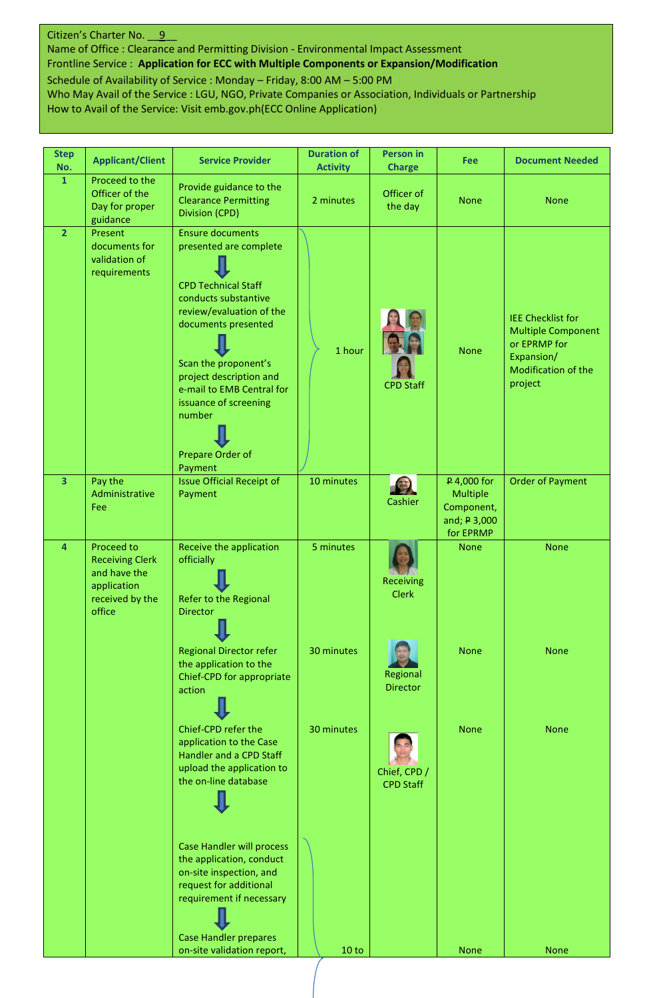## Citizen's Charter No. 9

Name of Office : Clearance and Permitting Division - Environmental Impact Assessment Frontline Service : **Application for ECC with Multiple Components or Expansion/Modification** Schedule of Availability of Service : Monday – Friday, 8:00 AM – 5:00 PM Who May Avail of the Service : LGU, NGO, Private Companies or Association, Individuals or Partnership

How to Avail of the Service: Visit emb.gov.ph(ECC Online Application)

| <b>Step</b><br>No. | <b>Applicant/Client</b>                                                                          | <b>Service Provider</b>                                                                                                                                                                                                                                                                                      | <b>Duration of</b><br><b>Activity</b> | Person in<br><b>Charge</b>       | Fee                                                                | <b>Document Needed</b>                                                                                                |
|--------------------|--------------------------------------------------------------------------------------------------|--------------------------------------------------------------------------------------------------------------------------------------------------------------------------------------------------------------------------------------------------------------------------------------------------------------|---------------------------------------|----------------------------------|--------------------------------------------------------------------|-----------------------------------------------------------------------------------------------------------------------|
| $\mathbf{1}$       | Proceed to the<br>Officer of the<br>Day for proper<br>guidance                                   | Provide guidance to the<br><b>Clearance Permitting</b><br>Division (CPD)                                                                                                                                                                                                                                     | 2 minutes                             | Officer of<br>the day            | <b>None</b>                                                        | <b>None</b>                                                                                                           |
| $\overline{2}$     | Present<br>documents for<br>validation of<br>requirements                                        | <b>Ensure documents</b><br>presented are complete<br><b>CPD Technical Staff</b><br>conducts substantive<br>review/evaluation of the<br>documents presented<br>Scan the proponent's<br>project description and<br>e-mail to EMB Central for<br>issuance of screening<br>number<br>Prepare Order of<br>Payment | 1 hour                                | <b>CPD Staff</b>                 | <b>None</b>                                                        | <b>IEE Checklist for</b><br><b>Multiple Component</b><br>or EPRMP for<br>Expansion/<br>Modification of the<br>project |
| $\overline{3}$     | Pay the<br>Administrative<br>Fee                                                                 | <b>Issue Official Receipt of</b><br>Payment                                                                                                                                                                                                                                                                  | 10 minutes                            | Cashier                          | P 4,000 for<br>Multiple<br>Component,<br>and; P 3,000<br>for EPRMP | <b>Order of Payment</b>                                                                                               |
| 4                  | Proceed to<br><b>Receiving Clerk</b><br>and have the<br>application<br>received by the<br>office | Receive the application<br>officially<br>Refer to the Regional<br><b>Director</b><br>ш                                                                                                                                                                                                                       | 5 minutes                             | <b>Receiving</b><br><b>Clerk</b> | <b>None</b>                                                        | <b>None</b>                                                                                                           |
|                    |                                                                                                  | <b>Regional Director refer</b><br>the application to the<br>Chief-CPD for appropriate<br>action                                                                                                                                                                                                              | 30 minutes                            | Regional<br><b>Director</b>      | <b>None</b>                                                        | <b>None</b>                                                                                                           |
|                    |                                                                                                  | Chief-CPD refer the<br>application to the Case<br>Handler and a CPD Staff<br>upload the application to<br>the on-line database                                                                                                                                                                               | 30 minutes                            | Chief, CPD /<br><b>CPD Staff</b> | <b>None</b>                                                        | <b>None</b>                                                                                                           |
|                    |                                                                                                  | Case Handler will process<br>the application, conduct<br>on-site inspection, and<br>request for additional<br>requirement if necessary<br><b>Case Handler prepares</b>                                                                                                                                       |                                       |                                  |                                                                    |                                                                                                                       |
|                    |                                                                                                  | on-site validation report,                                                                                                                                                                                                                                                                                   | 10 to                                 |                                  | <b>None</b>                                                        | <b>None</b>                                                                                                           |